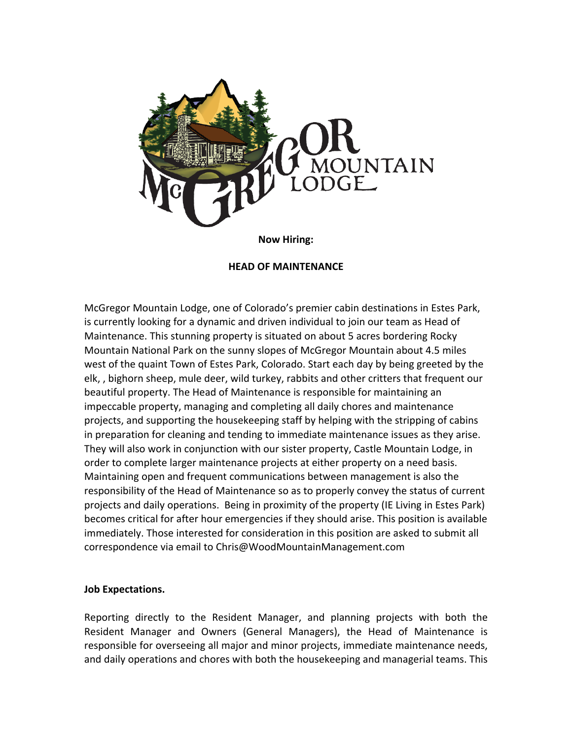

### **Now Hiring:**

### **HEAD OF MAINTENANCE**

McGregor Mountain Lodge, one of Colorado's premier cabin destinations in Estes Park, is currently looking for a dynamic and driven individual to join our team as Head of Maintenance. This stunning property is situated on about 5 acres bordering Rocky Mountain National Park on the sunny slopes of McGregor Mountain about 4.5 miles west of the quaint Town of Estes Park, Colorado. Start each day by being greeted by the elk, , bighorn sheep, mule deer, wild turkey, rabbits and other critters that frequent our beautiful property. The Head of Maintenance is responsible for maintaining an impeccable property, managing and completing all daily chores and maintenance projects, and supporting the housekeeping staff by helping with the stripping of cabins in preparation for cleaning and tending to immediate maintenance issues as they arise. They will also work in conjunction with our sister property, Castle Mountain Lodge, in order to complete larger maintenance projects at either property on a need basis. Maintaining open and frequent communications between management is also the responsibility of the Head of Maintenance so as to properly convey the status of current projects and daily operations. Being in proximity of the property (IE Living in Estes Park) becomes critical for after hour emergencies if they should arise. This position is available immediately. Those interested for consideration in this position are asked to submit all correspondence via email to Chris@WoodMountainManagement.com

### **Job Expectations.**

Reporting directly to the Resident Manager, and planning projects with both the Resident Manager and Owners (General Managers), the Head of Maintenance is responsible for overseeing all major and minor projects, immediate maintenance needs, and daily operations and chores with both the housekeeping and managerial teams. This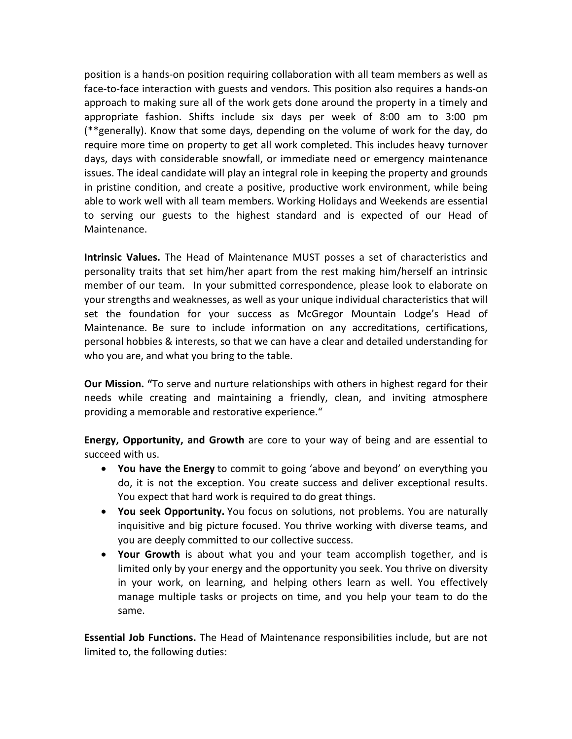position is a hands-on position requiring collaboration with all team members as well as face-to-face interaction with guests and vendors. This position also requires a hands-on approach to making sure all of the work gets done around the property in a timely and appropriate fashion. Shifts include six days per week of 8:00 am to 3:00 pm (\*\*generally). Know that some days, depending on the volume of work for the day, do require more time on property to get all work completed. This includes heavy turnover days, days with considerable snowfall, or immediate need or emergency maintenance issues. The ideal candidate will play an integral role in keeping the property and grounds in pristine condition, and create a positive, productive work environment, while being able to work well with all team members. Working Holidays and Weekends are essential to serving our guests to the highest standard and is expected of our Head of Maintenance.

**Intrinsic Values.** The Head of Maintenance MUST posses a set of characteristics and personality traits that set him/her apart from the rest making him/herself an intrinsic member of our team. In your submitted correspondence, please look to elaborate on your strengths and weaknesses, as well as your unique individual characteristics that will set the foundation for your success as McGregor Mountain Lodge's Head of Maintenance. Be sure to include information on any accreditations, certifications, personal hobbies & interests, so that we can have a clear and detailed understanding for who you are, and what you bring to the table.

**Our Mission. "**To serve and nurture relationships with others in highest regard for their needs while creating and maintaining a friendly, clean, and inviting atmosphere providing a memorable and restorative experience."

**Energy, Opportunity, and Growth** are core to your way of being and are essential to succeed with us.

- **You have the Energy** to commit to going 'above and beyond' on everything you do, it is not the exception. You create success and deliver exceptional results. You expect that hard work is required to do great things.
- **You seek Opportunity.** You focus on solutions, not problems. You are naturally inquisitive and big picture focused. You thrive working with diverse teams, and you are deeply committed to our collective success.
- **Your Growth** is about what you and your team accomplish together, and is limited only by your energy and the opportunity you seek. You thrive on diversity in your work, on learning, and helping others learn as well. You effectively manage multiple tasks or projects on time, and you help your team to do the same.

**Essential Job Functions.** The Head of Maintenance responsibilities include, but are not limited to, the following duties: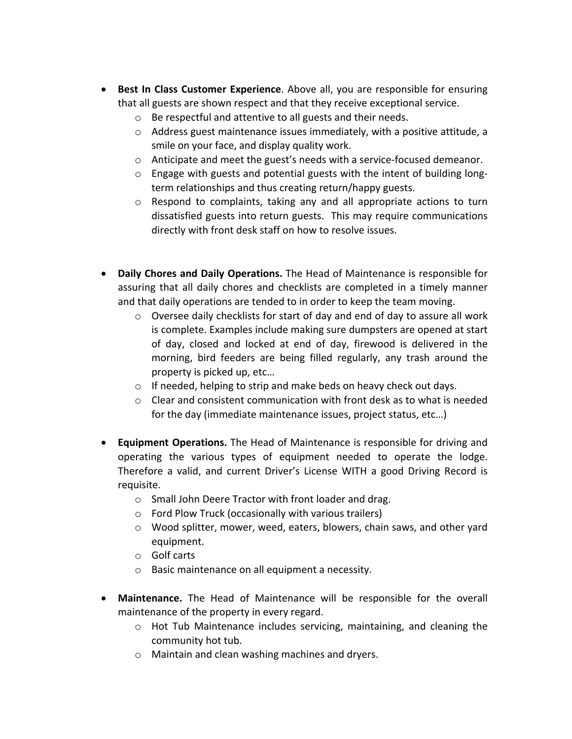- **Best In Class Customer Experience**. Above all, you are responsible for ensuring that all guests are shown respect and that they receive exceptional service.
	- o Be respectful and attentive to all guests and their needs.
	- $\circ$  Address guest maintenance issues immediately, with a positive attitude, a smile on your face, and display quality work.
	- o Anticipate and meet the guest's needs with a service-focused demeanor.
	- o Engage with guests and potential guests with the intent of building longterm relationships and thus creating return/happy guests.
	- $\circ$  Respond to complaints, taking any and all appropriate actions to turn dissatisfied guests into return guests. This may require communications directly with front desk staff on how to resolve issues.
- **Daily Chores and Daily Operations.** The Head of Maintenance is responsible for assuring that all daily chores and checklists are completed in a timely manner and that daily operations are tended to in order to keep the team moving.
	- $\circ$  Oversee daily checklists for start of day and end of day to assure all work is complete. Examples include making sure dumpsters are opened at start of day, closed and locked at end of day, firewood is delivered in the morning, bird feeders are being filled regularly, any trash around the property is picked up, etc…
	- o If needed, helping to strip and make beds on heavy check out days.
	- $\circ$  Clear and consistent communication with front desk as to what is needed for the day (immediate maintenance issues, project status, etc…)
- **Equipment Operations.** The Head of Maintenance is responsible for driving and operating the various types of equipment needed to operate the lodge. Therefore a valid, and current Driver's License WITH a good Driving Record is requisite.
	- o Small John Deere Tractor with front loader and drag.
	- o Ford Plow Truck (occasionally with various trailers)
	- o Wood splitter, mower, weed, eaters, blowers, chain saws, and other yard equipment.
	- o Golf carts
	- o Basic maintenance on all equipment a necessity.
- **Maintenance.** The Head of Maintenance will be responsible for the overall maintenance of the property in every regard.
	- o Hot Tub Maintenance includes servicing, maintaining, and cleaning the community hot tub.
	- o Maintain and clean washing machines and dryers.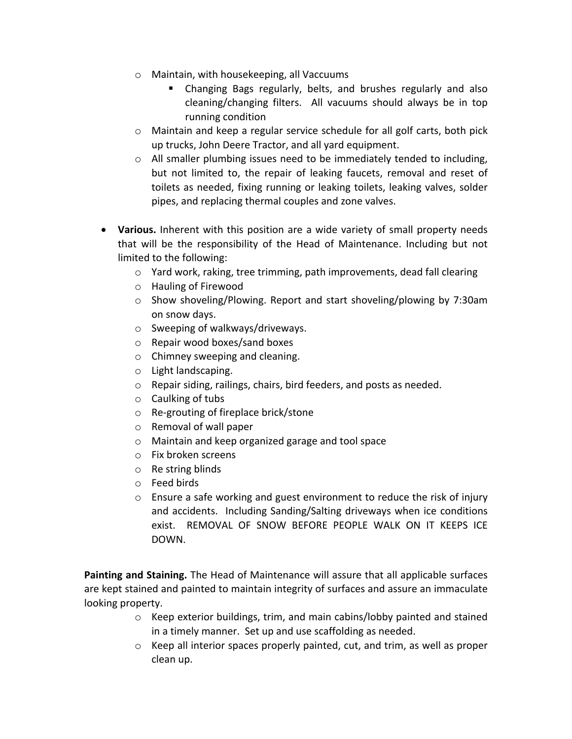- o Maintain, with housekeeping, all Vaccuums
	- Changing Bags regularly, belts, and brushes regularly and also cleaning/changing filters. All vacuums should always be in top running condition
- o Maintain and keep a regular service schedule for all golf carts, both pick up trucks, John Deere Tractor, and all yard equipment.
- o All smaller plumbing issues need to be immediately tended to including, but not limited to, the repair of leaking faucets, removal and reset of toilets as needed, fixing running or leaking toilets, leaking valves, solder pipes, and replacing thermal couples and zone valves.
- **Various.** Inherent with this position are a wide variety of small property needs that will be the responsibility of the Head of Maintenance. Including but not limited to the following:
	- o Yard work, raking, tree trimming, path improvements, dead fall clearing
	- o Hauling of Firewood
	- $\circ$  Show shoveling/Plowing. Report and start shoveling/plowing by 7:30am on snow days.
	- o Sweeping of walkways/driveways.
	- o Repair wood boxes/sand boxes
	- o Chimney sweeping and cleaning.
	- o Light landscaping.
	- o Repair siding, railings, chairs, bird feeders, and posts as needed.
	- o Caulking of tubs
	- o Re-grouting of fireplace brick/stone
	- o Removal of wall paper
	- o Maintain and keep organized garage and tool space
	- o Fix broken screens
	- o Re string blinds
	- o Feed birds
	- o Ensure a safe working and guest environment to reduce the risk of injury and accidents. Including Sanding/Salting driveways when ice conditions exist. REMOVAL OF SNOW BEFORE PEOPLE WALK ON IT KEEPS ICE DOWN.

**Painting and Staining.** The Head of Maintenance will assure that all applicable surfaces are kept stained and painted to maintain integrity of surfaces and assure an immaculate looking property.

- o Keep exterior buildings, trim, and main cabins/lobby painted and stained in a timely manner. Set up and use scaffolding as needed.
- $\circ$  Keep all interior spaces properly painted, cut, and trim, as well as proper clean up.